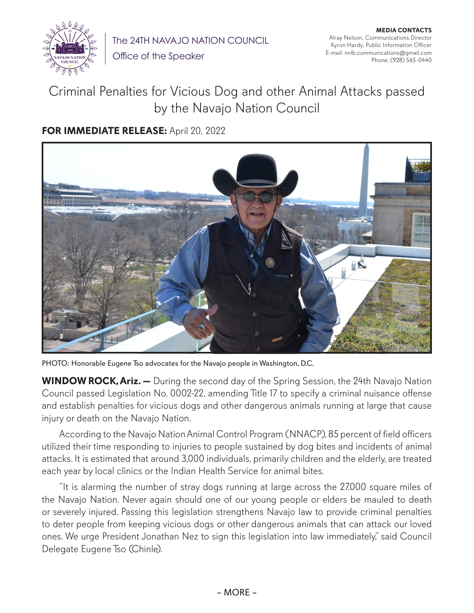

The 24TH NAVAJO NATION COUNCIL

Office of the Speaker

**MEDIA CONTACTS** Alray Nelson, Communications Director Kyron Hardy, Public Information Officer E-mail: nnlb.communications@gmail.com Phone: (928) 565-0440

## Criminal Penalties for Vicious Dog and other Animal Attacks passed by the Navajo Nation Council

## **FOR IMMEDIATE RELEASE:** April 20, 2022



PHOTO: Honorable Eugene Tso advocates for the Navajo people in Washington, D.C.

**WINDOW ROCK, Ariz. —** During the second day of the Spring Session, the 24th Navajo Nation Council passed Legislation No. 0002-22, amending Title 17 to specify a criminal nuisance offense and establish penalties for vicious dogs and other dangerous animals running at large that cause injury or death on the Navajo Nation.

According to the Navajo Nation Animal Control Program (NNACP), 85 percent of field officers utilized their time responding to injuries to people sustained by dog bites and incidents of animal attacks. It is estimated that around 3,000 individuals, primarily children and the elderly, are treated each year by local clinics or the Indian Health Service for animal bites.

"It is alarming the number of stray dogs running at large across the 27,000 square miles of the Navajo Nation. Never again should one of our young people or elders be mauled to death or severely injured. Passing this legislation strengthens Navajo law to provide criminal penalties to deter people from keeping vicious dogs or other dangerous animals that can attack our loved ones. We urge President Jonathan Nez to sign this legislation into law immediately," said Council Delegate Eugene Tso (Chinle).